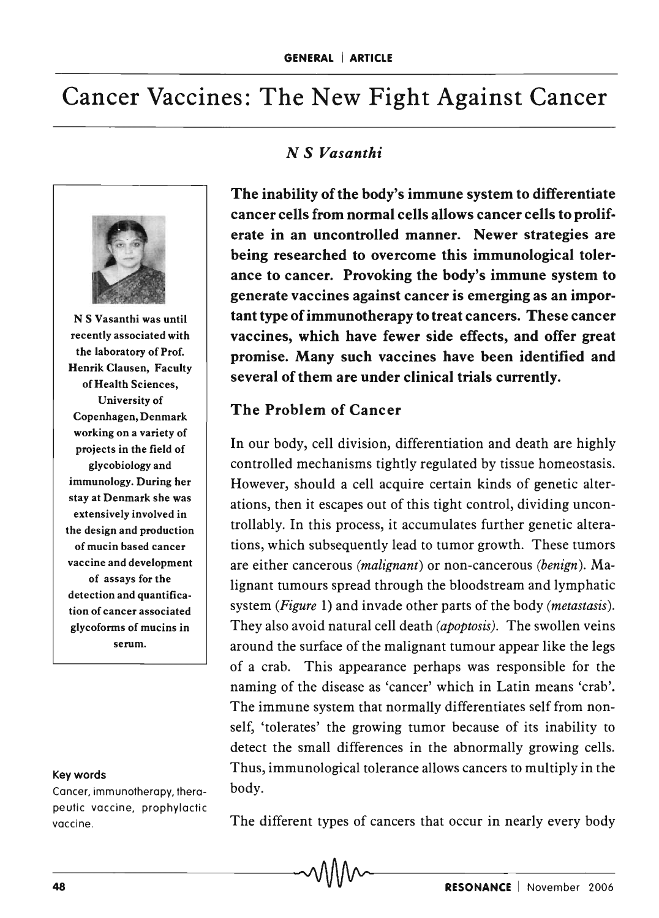# Cancer Vaccines: The New Fight Against Cancer



N S Vasanthi was until recently associated with the laboratory of Prof. Henrik Clausen, Faculty of Health Sciences, University of Copenhagen, Denmark working on a variety of projects in the field of glycobiology and immunology. During her stay at Denmark she was extensively involved in the design and production of mucin based cancer vaccine and development of assays for the detection and quantification of cancer associated glycoforms of mucins in serum.

#### Key words

Cancer, immunotherapy, therapeutic vaccine, prophylactic vaccine .

## *N S Vasanthi*

The inability of the body's immune system to differentiate cancer cells from normal cells allows cancer cells to proliferate in an uncontrolled manner. Newer strategies are being researched to overcome this immunological tolerance to cancer. Provoking the body's immune system to generate vaccines against cancer is emerging as an important type of immunotherapy to treat cancers. These cancer vaccines, which have fewer side effects, and offer great promise. Many such vaccines have been identified and several of them are under clinical trials currently.

## The Problem of Cancer

In our body, cell division, differentiation and death are highly controlled mechanisms tightly regulated by tissue homeostasis. However, should a cell acquire certain kinds of genetic alterations, then it escapes out of this tight control, dividing uncontrollably. In this process, it accumulates further genetic alterations, which subsequently lead to tumor growth. These tumors are either cancerous *(malignant)* or non-cancerous *(benign).* Malignant tumours spread through the bloodstream and lymphatic system *(Figure* 1) and invade other parts of the body *(metastasis).*  They also avoid natural cell death *(apoptosis).* The swollen veins around the surface of the malignant tumour appear like the legs of a crab. This appearance perhaps was responsible for the naming of the disease as 'cancer' which in Latin means 'crab'. The immune system that normally differentiates self from nonself, 'tolerates' the growing tumor because of its inability to detect the small differences in the abnormally growing cells. Thus, immunological tolerance allows cancers to multiply in the body.

The different types of cancers that occur in nearly every body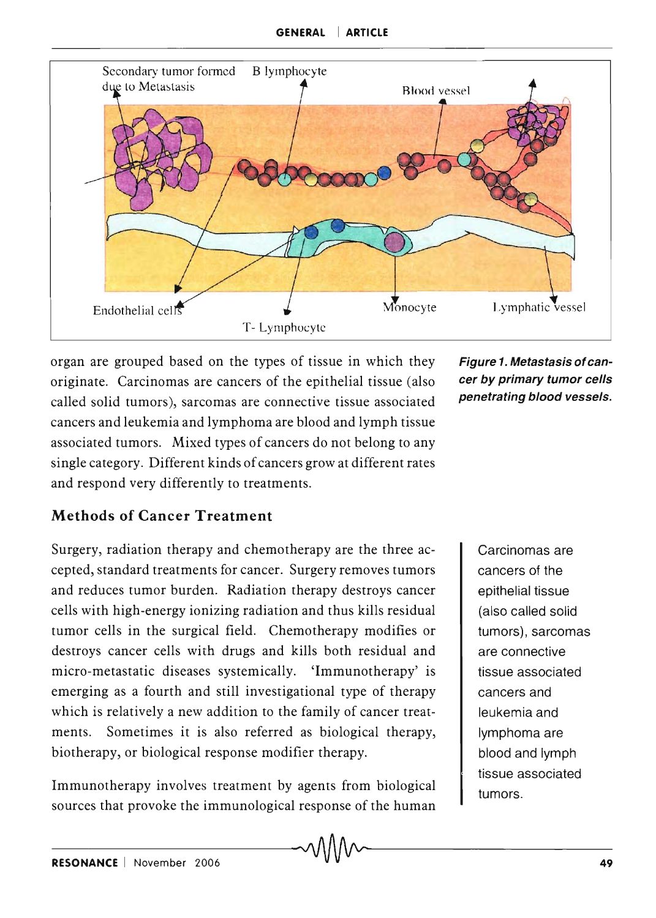

organ are grouped based on the types of tissue in which they originate. Carcinomas are cancers of the epithelial tissue (also called solid tumors), sarcomas are connective tissue associated cancers and leukemia and lymphoma are blood and lymph tissue associated tumors. Mixed types of cancers do not belong to any single category. Different kinds of cancers grow at different rates and respond very differently to treatments.

Figure 1. Metastasis of cancer by primary tumor cells penetrating blood vessels.

# Methods of Cancer Treatment

Surgery, radiation therapy and chemotherapy are the three accepted, standard treatments for cancer. Surgery removes tumors and reduces tumor burden. Radiation therapy destroys cancer cells with high-energy ionizing radiation and thus kills residual tumor cells in the surgical field. Chemotherapy modifies or destroys cancer cells with drugs and kills both residual and micro-metastatic diseases systemically. 'Immunotherapy' is emerging as a fourth and still investigational type of therapy which is relatively a new addition to the family of cancer treatments. Sometimes it is also referred as biological therapy, biotherapy, or biological response modifier therapy.

Immunotherapy involves treatment by agents from biological sources that provoke the immunological response of the human

Carcinomas are cancers of the epithelial tissue (also called solid tumors), sarcomas are connective tissue associated cancers and leukemia and lymphoma are blood and lymph tissue associated tumors.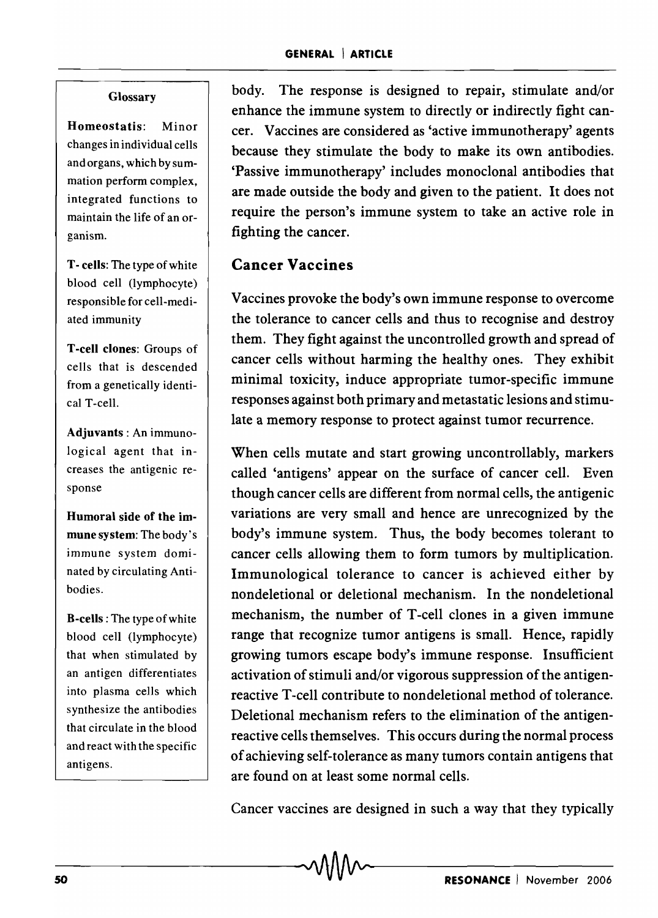#### Glossary

Homeostatis: Minor changes in individual cells and organs, which by summation perform complex, integrated functions to maintain the life of an organism.

T - cells: The type of white blood cell (lymphocyte) responsible for cell-mediated immunity

T -cell clones: Groups of cells that is descended from a genetically identical T-cell.

Adjuvants: An immunological agent that increases the antigenic response

Humoral side of the immune system: The body's immune system dominated by circulating Antibodies.

B-cells : The type of white blood cell (lymphocyte) that when stimulated by an antigen differentiates into plasma cells which synthesize the antibodies that circulate in the blood and react with the specific antigens.

body. The response is designed to repair, stimulate and/or enhance the immune system to directly or indirectly fight cancer. Vaccines are considered as 'active immunotherapy' agents because they stimulate the body to make its own antibodies. 'Passive immunotherapy' includes monoclonal antibodies that are made outside the body and given to the patient. It does not require the person's immune system to take an active role in fighting the cancer.

## **Cancer Vaccines**

Vaccines provoke the body's own immune response to overcome the tolerance to cancer cells and thus to recognise and destroy them. They fight against the uncontrolled growth and spread of cancer cells without harming the healthy ones. They exhibit minimal toxicity, induce appropriate tumor-specific immune responses against both primary and metastatic lesions and stimulate a memory response to protect against tumor recurrence.

When cells mutate and start growing uncontrollably, markers called 'antigens' appear on the surface of cancer cell. Even though cancer cells are different from normal cells, the antigenic variations are very small and hence are unrecognized by the body's immune system. Thus, the body becomes tolerant to cancer cells allowing them to form tumors by multiplication. Immunological tolerance to cancer is achieved either by nondeletional or deletional mechanism. In the nondeletional mechanism, the number of T-cell clones in a given immune range that recognize tumor antigens is small. Hence, rapidly growing tumors escape body's immune response. Insufficient activation of stimuli and/or vigorous suppression of the antigenreactive T-cell contribute to nondeletional method of tolerance. Deletional mechanism refers to the elimination of the antigenreactive cells themselves. This occurs during the normal process of achieving self-tolerance as many tumors contain antigens that are found on at least some normal cells.

Cancer vaccines are designed in such a way that they typically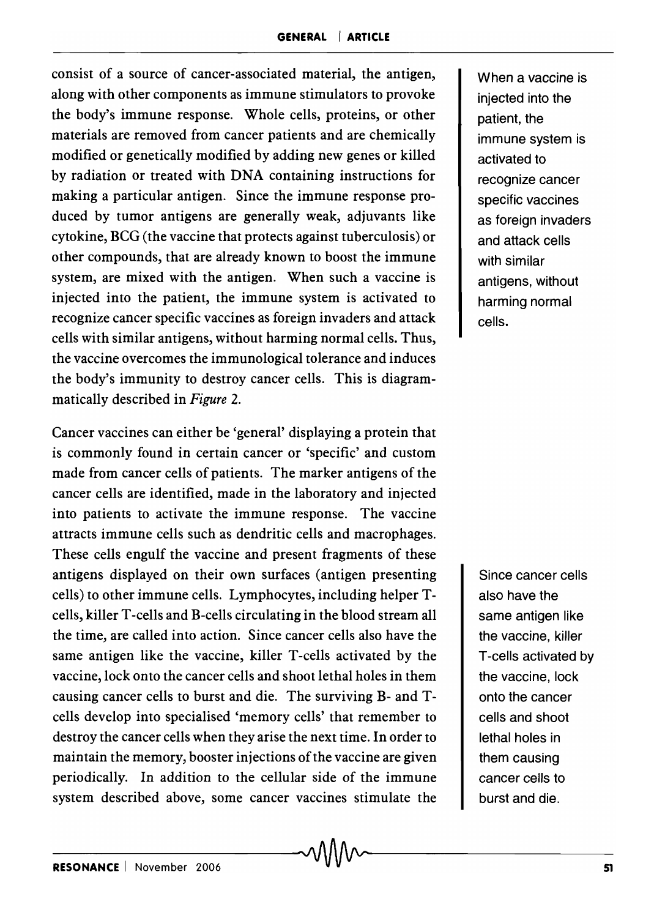consist of a source of cancer-associated material, the antigen, along with other components as immune stimulators to provoke the body's immune response. Whole cells, proteins, or other materials are removed from cancer patients and are chemically modified or genetically modified by adding new genes or killed by radiation or treated with DNA containing instructions for making a particular antigen. Since the immune response produced by tumor antigens are generally weak, adjuvants like cytokine, BCG (the vaccine that protects against tuberculosis) or other compounds, that are already known to boost the immune system, are mixed with the antigen. When such a vaccine is injected into the patient, the immune system is activated to recognize cancer specific vaccines as foreign invaders and attack cells with similar antigens, without harming normal cells. Thus, the vaccine overcomes the immunological tolerance and induces the body's immunity to destroy cancer cells. This is diagrammatically described in *Figure 2.* 

Cancer vaccines can either be 'general' displaying a protein that is commonly found in certain cancer or 'specific' and custom made from cancer cells of patients. The marker antigens of the cancer cells are identified, made in the laboratory and injected into patients to activate the immune response. The vaccine attracts immune cells such as dendritic cells and macrophages. These cells engulf the vaccine and present fragments of these antigens displayed on their own surfaces (antigen presenting cells) to other immune cells. Lymphocytes, including helper Tcells, killer T -cells and B-cells circulating in the blood stream all the time, are called into action. Since cancer cells also have the same antigen like the vaccine, killer T-cells activated by the vaccine, lock onto the cancer cells and shoot lethal holes in them causing cancer cells to burst and die. The surviving B- and Tcells develop into specialised 'memory cells' that remember to destroy the cancer cells when they arise the next time. In order to maintain the memory, booster injections of the vaccine are given periodically. In addition to the cellular side of the immune system described above, some cancer vaccines stimulate the

When a vaccine is injected into the patient, the immune system is activated to recognize cancer specific vaccines as foreign invaders and attack cells with similar antigens, without harming normal cells.

Since cancer cells also have the same antigen like the vaccine, killer T -cells activated by the vaccine, lock onto the cancer cells and shoot lethal holes in them causing cancer cells to burst and die.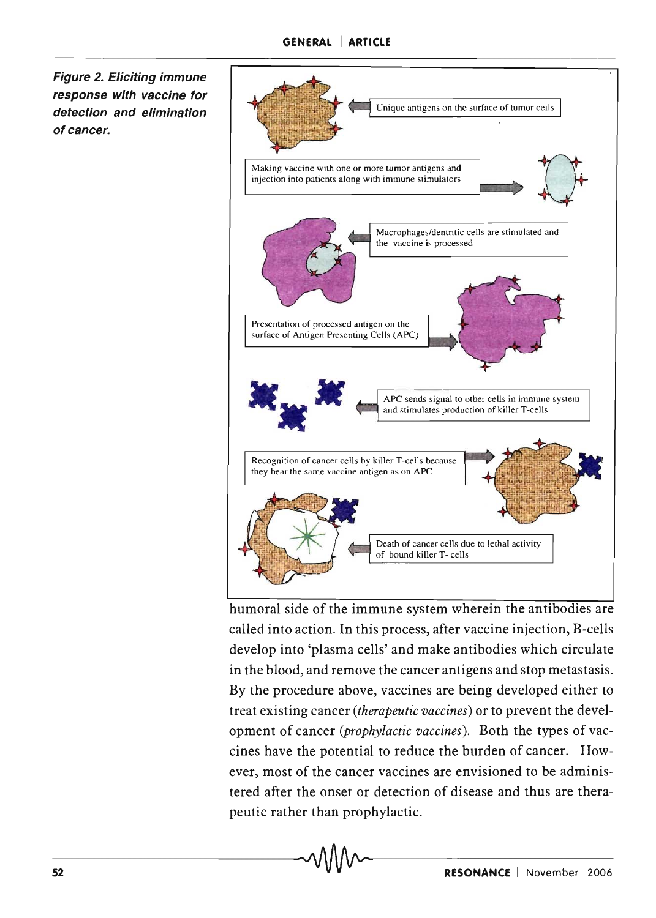**Figure 2. Eliciting immune response with vaccine for detection and elimination**  of cancer.



humoral side of the immune system wherein the antibodies are called into action. **In** this process, after vaccine injection, B-cells develop into 'plasma cells' and make antibodies which circulate in the blood, and remove the cancer antigens and stop metastasis. By the procedure above, vaccines are being developed either to treat existing cancer *(therapeutic vaccines)* or to prevent the development of cancer *(prophylactic vaccines).* Both the types of vaccines have the potential to reduce the burden of cancer. However, most of the cancer vaccines are envisioned to be administered after the onset or detection of disease and thus are therapeutic rather than prophylactic.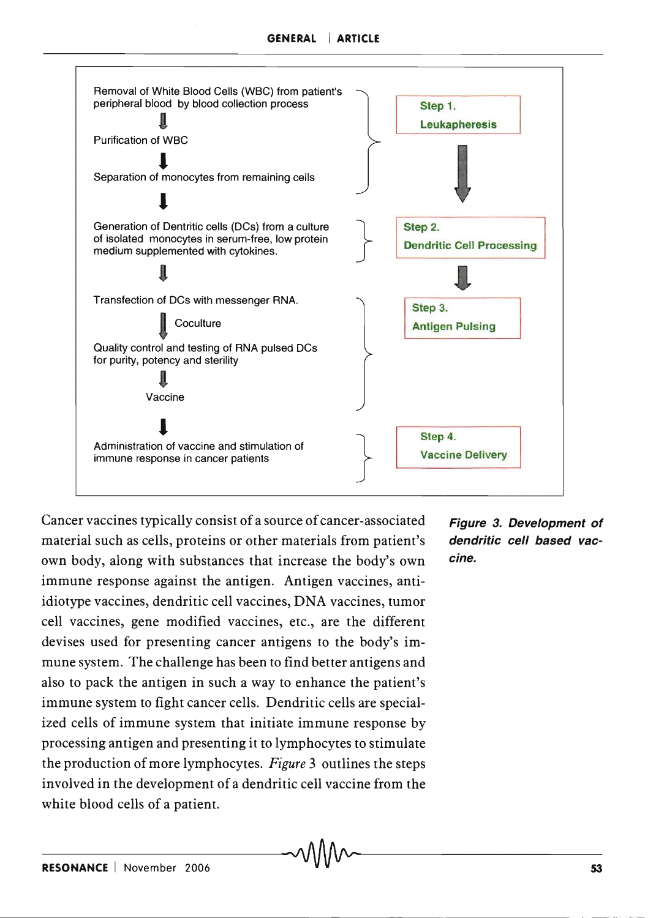

Cancer vaccines typically consist of a source of cancer-associated material such as cells, proteins or other materials from patient's own body, along with substances that increase the body's own immune response against the antigen. Antigen vaccines, antiidiotype vaccines, dendritic cell vaccines, DNA vaccines, tumor cell vaccines, gene modified vaccines, etc., are the different devises used for presenting cancer antigens to the body's immune system. The challenge has been to find better antigens and also to pack the antigen in such a way to enhance the patient's immune system to fight cancer cells. Dendritic cells are specialized cells of immune system that initiate immune response by processing antigen and presenting it to lymphocytes to stimulate the production of more lymphocytes. *Figure* 3 outlines the steps involved in the development of a dendritic cell vaccine from the white blood cells of a patient.

Figure 3. Development of dendritic cell based vaccine.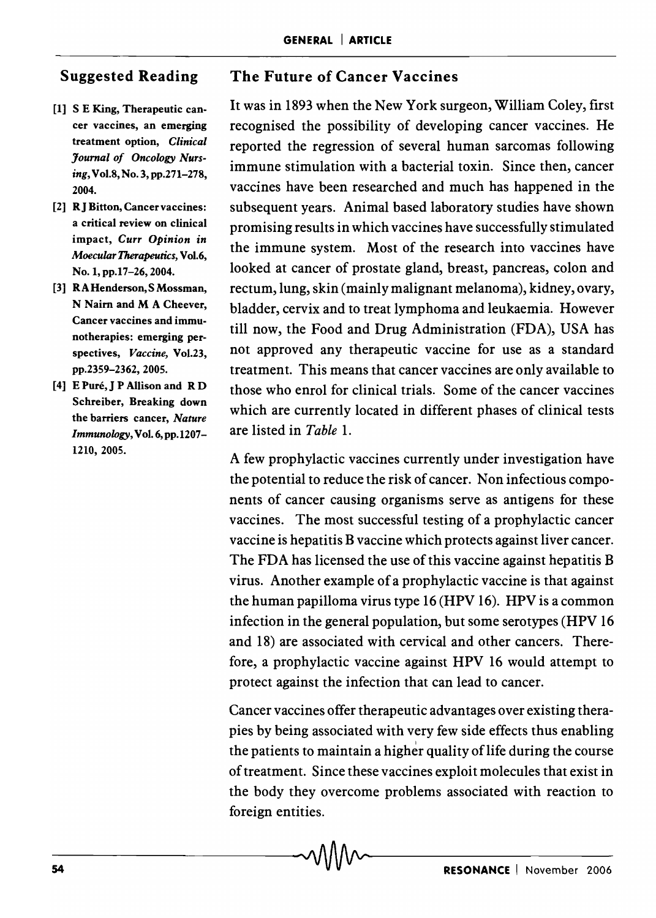# **Suggested Reading**

- [1] S E King, Therapeutic cancer vaccines, an emerging treatment option, *Clinical Journal of Oncology Nursing,* Vo1.8,No.3,pp.271-278, 2004.
- [2] **RJ** Bitton, Cancer vaccines: a critical review on clinical impact, *Curr Opinion* in *Moecular Therapeutics,* Vol.6, No.1,pp.17-26,2004.
- [3] RAHenderson, SMossman, N Nairn and M A Cheever, Cancer vaccines and immunotherapies: emerging perspectives, *Vaccine,* Vo1.23, pp.2359-2362, 2005.
- [4] E Puré, J P Allison and R D Schreiber, Breaking down the barriers cancer, *Nature Immunology,* Vol. 6, pp. 1207- 1210,2005.

# **The Future of Cancer Vaccines**

It was in 1893 when the New York surgeon, William Coley, first recognised the possibility of developing cancer vaccines. He reported the regression of several human sarcomas following immune stimulation with a bacterial toxin. Since then, cancer vaccines have been researched and much has happened in the subsequent years. Animal based laboratory studies have shown promising results in which vaccines have successfully stimulated the immune system. Most of the research into vaccines have looked at cancer of prostate gland, breast, pancreas, colon and rectum, lung, skin (mainly malignant melanoma), kidney, ovary, bladder, cervix and to treat lymphoma and leukaemia. However till now, the Food and Drug Administration (FDA), USA has not approved any therapeutic vaccine for use as a standard treatment. This means that cancer vaccines are only available to those who enrol for clinical trials. Some of the cancer vaccines which are currently located in different phases of clinical tests are listed in *Table 1.* 

A few prophylactic vaccines currently under investigation have the potential to reduce the risk of cancer. Non infectious components of cancer causing organisms serve as antigens for these vaccines. The most successful testing of a prophylactic cancer vaccine is hepatitis B vaccine which protects against liver cancer. The FDA has licensed the use of this vaccine against hepatitis B virus. Another example of a prophylactic vaccine is that against the human papilloma virus type 16 (HPV 16). HPV is a common infection in the general population, but some serotypes (HPV 16 and 18) are associated with cervical and other cancers. Therefore, a prophylactic vaccine against HPV 16 would attempt to protect against the infection that can lead to cancer.

Cancer vaccines offer therapeutic advantages over existing therapies by being associated with very few side effects thus enabling the patients to maintain a higher quality of life during the course of treatment. Since these vaccines exploit molecules that exist in the body they overcome problems associated with reaction to foreign entities.